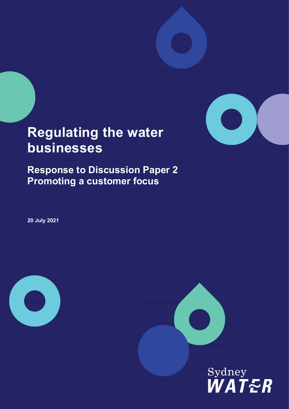

## Regulating the water businesses

Response to Discussion Paper 2 Promoting a customer focus

20 July 2021



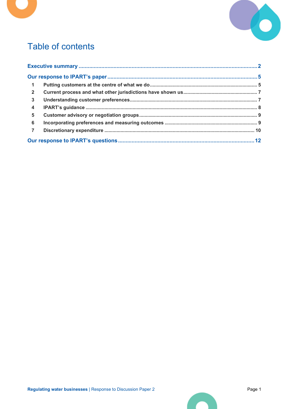

## Table of contents

| $\overline{\mathbf{1}}$ |  |
|-------------------------|--|
| $\overline{2}$          |  |
| $\mathbf{3}$            |  |
| $\overline{\mathbf{4}}$ |  |
| $5\overline{)}$         |  |
| 6                       |  |
| $\overline{7}$          |  |
|                         |  |

**CO**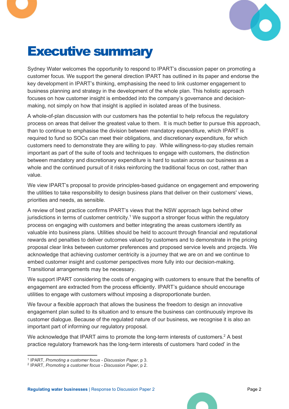

## Executive summary

Sydney Water welcomes the opportunity to respond to IPART's discussion paper on promoting a customer focus. We support the general direction IPART has outlined in its paper and endorse the key development in IPART's thinking, emphasising the need to link customer engagement to business planning and strategy in the development of the whole plan. This holistic approach focuses on how customer insight is embedded into the company's governance and decisionmaking, not simply on how that insight is applied in isolated areas of the business.

A whole-of-plan discussion with our customers has the potential to help refocus the regulatory process on areas that deliver the greatest value to them. It is much better to pursue this approach, than to continue to emphasise the division between mandatory expenditure, which IPART is required to fund so SOCs can meet their obligations, and discretionary expenditure, for which customers need to demonstrate they are willing to pay. While willingness-to-pay studies remain important as part of the suite of tools and techniques to engage with customers, the distinction between mandatory and discretionary expenditure is hard to sustain across our business as a whole and the continued pursuit of it risks reinforcing the traditional focus on cost, rather than value.

We view IPART's proposal to provide principles-based guidance on engagement and empowering the utilities to take responsibility to design business plans that deliver on their customers' views, priorities and needs, as sensible.

A review of best practice confirms IPART's views that the NSW approach lags behind other jurisdictions in terms of customer centricity.<sup>1</sup> We support a stronger focus within the regulatory process on engaging with customers and better integrating the areas customers identify as valuable into business plans. Utilities should be held to account through financial and reputational rewards and penalties to deliver outcomes valued by customers and to demonstrate in the pricing proposal clear links between customer preferences and proposed service levels and projects. We acknowledge that achieving customer centricity is a journey that we are on and we continue to embed customer insight and customer perspectives more fully into our decision-making. Transitional arrangements may be necessary.

We support IPART considering the costs of engaging with customers to ensure that the benefits of engagement are extracted from the process efficiently. IPART's guidance should encourage utilities to engage with customers without imposing a disproportionate burden.

We favour a flexible approach that allows the business the freedom to design an innovative engagement plan suited to its situation and to ensure the business can continuously improve its customer dialogue. Because of the regulated nature of our business, we recognise it is also an important part of informing our regulatory proposal.

We acknowledge that IPART aims to promote the long-term interests of customers.<sup>2</sup> A best practice regulatory framework has the long-term interests of customers 'hard coded' in the

<sup>&</sup>lt;sup>1</sup> IPART, Promoting a customer focus - Discussion Paper, p 3.

<sup>2</sup> IPART, Promoting a customer focus - Discussion Paper, p 2.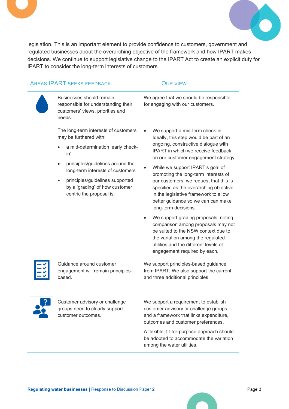

legislation. This is an important element to provide confidence to customers, government and regulated businesses about the overarching objective of the framework and how IPART makes decisions. We continue to support legislative change to the IPART Act to create an explicit duty for IPART to consider the long-term interests of customers.

## AREAS IPART SEEKS FEEDBACK OUR VIEW

Businesses should remain responsible for understanding their customers' views, priorities and needs.

The long-term interests of customers may be furthered with:

- a mid-determination 'early checkin'
- principles/guidelines around the long-term interests of customers
- principles/guidelines supported by a 'grading' of how customer centric the proposal is.

We support a mid-term check-in. Ideally, this step would be part of an ongoing, constructive dialogue with IPART in which we receive feedback on our customer engagement strategy.

We agree that we should be responsible

for engaging with our customers.

- While we support IPART's goal of promoting the long-term interests of our customers, we request that this is specified as the overarching objective in the legislative framework to allow better guidance so we can can make long-term decisions.
- We support grading proposals, noting comparison among proposals may not be suited to the NSW context due to the variation among the regulated utilities and the different levels of engagement required by each.



Guidance around customer engagement will remain principlesbased.

We support principles-based guidance from IPART. We also support the current and three additional principles.



Customer advisory or challenge groups need to clearly support customer outcomes.

We support a requirement to establish customer advisory or challenge groups and a framework that links expenditure, outcomes and customer preferences.

A flexible, fit-for-purpose approach should be adopted to accommodate the variation among the water utilities.

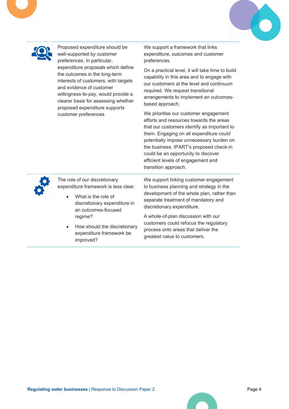



Proposed expenditure should be well-supported by customer preferences. In particular, expenditure proposals which define the outcomes in the long-term interests of customers, with targets and evidence of customer willingness-to-pay, would provide a clearer basis for assessing whether proposed expenditure supports customer preferences

We support a framework that links expenditure, outcomes and customer preferences.

On a practical level, it will take time to build capability in this area and to engage with our customers at the level and continuum required. We request transitional arrangements to implement an outcomesbased approach.

We prioritise our customer engagement efforts and resources towards the areas that our customers identify as important to them. Engaging on all expenditure could potentially impose unnecessary burden on the business. IPART's proposed check-in could be an opportunity to discover efficient levels of engagement and transition approach.



The role of our discretionary expenditure framework is less clear.

- What is the role of discretionary expenditure in an outcomes-focused regime?
- How should the discretionary expenditure framework be improved?

We support linking customer engagement to business planning and strategy in the development of the whole plan, rather than separate treatment of mandatory and discretionary expenditure.

A whole-of-plan discussion with our customers could refocus the regulatory process onto areas that deliver the greatest value to customers.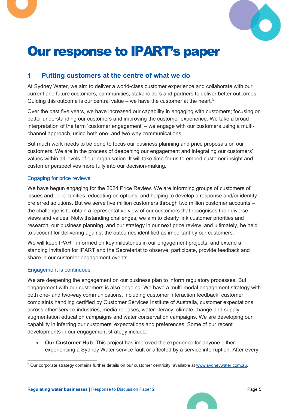



## Our response to IPART's paper

## 1 Putting customers at the centre of what we do

At Sydney Water, we aim to deliver a world-class customer experience and collaborate with our current and future customers, communities, stakeholders and partners to deliver better outcomes. Guiding this outcome is our central value – we have the customer at the heart.<sup>3</sup>

Over the past five years, we have increased our capability in engaging with customers; focusing on better understanding our customers and improving the customer experience. We take a broad interpretation of the term 'customer engagement' – we engage with our customers using a multichannel approach, using both one- and two-way communications.

But much work needs to be done to focus our business planning and price proposals on our customers. We are in the process of deepening our engagement and integrating our customers' values within all levels of our organisation. It will take time for us to embed customer insight and customer perspectives more fully into our decision-making.

### Engaging for price reviews

We have begun engaging for the 2024 Price Review. We are informing groups of customers of issues and opportunities, educating on options, and helping to develop a response and/or identify preferred solutions. But we serve five million customers through two million customer accounts – the challenge is to obtain a representative view of our customers that recognises their diverse views and values. Notwithstanding challenges, we aim to clearly link customer priorities and research, our business planning, and our strategy in our next price review, and ultimately, be held to account for delivering against the outcomes identified as important by our customers.

We will keep IPART informed on key milestones in our engagement projects, and extend a standing invitation for IPART and the Secretariat to observe, participate, provide feedback and share in our customer engagement events.

### Engagement is continuous

We are deepening the engagement on our business plan to inform regulatory processes. But engagement with our customers is also ongoing. We have a multi-modal engagement strategy with both one- and two-way communications, including customer interaction feedback, customer complaints handling certified by Customer Services Institute of Australia, customer expectations across other service industries, media releases, water literacy, climate change and supply augmentation education campaigns and water conservation campaigns. We are developing our capability in inferring our customers' expectations and preferences. Some of our recent developments in our engagement strategy include:

 Our Customer Hub. This project has improved the experience for anyone either experiencing a Sydney Water service fault or affected by a service interruption. After every

<sup>&</sup>lt;sup>3</sup> Our corporate strategy contains further details on our customer centricity, available at www.sydneywater.com.au.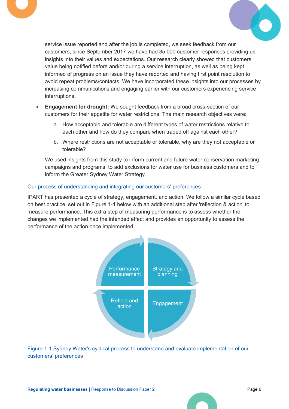



service issue reported and after the job is completed, we seek feedback from our customers; since September 2017 we have had 35,000 customer responses providing us insights into their values and expectations. Our research clearly showed that customers value being notified before and/or during a service interruption, as well as being kept informed of progress on an issue they have reported and having first point resolution to avoid repeat problems/contacts. We have incorporated these insights into our processes by increasing communications and engaging earlier with our customers experiencing service interruptions.

- Engagement for drought: We sought feedback from a broad cross-section of our customers for their appetite for water restrictions. The main research objectives were:
	- a. How acceptable and tolerable are different types of water restrictions relative to each other and how do they compare when traded off against each other?
	- b. Where restrictions are not acceptable or tolerable, why are they not acceptable or tolerable?

We used insights from this study to inform current and future water conservation marketing campaigns and programs, to add exclusions for water use for business customers and to inform the Greater Sydney Water Strategy.

#### Our process of understanding and integrating our customers' preferences

IPART has presented a cycle of strategy, engagement, and action. We follow a similar cycle based on best practice, set out in Figure 1-1 below with an additional step after 'reflection & action' to measure performance. This extra step of measuring performance is to assess whether the changes we implemented had the intended effect and provides an opportunity to assess the performance of the action once implemented.



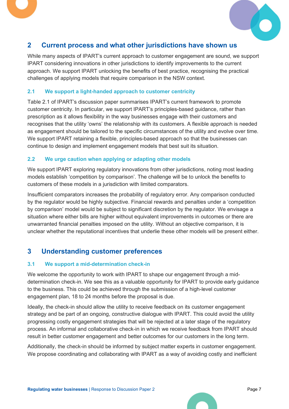



## 2 Current process and what other jurisdictions have shown us

While many aspects of IPART's current approach to customer engagement are sound, we support IPART considering innovations in other jurisdictions to identify improvements to the current approach. We support IPART unlocking the benefits of best practice, recognising the practical challenges of applying models that require comparison in the NSW context.

### 2.1 We support a light-handed approach to customer centricity

Table 2.1 of IPART's discussion paper summarises IPART's current framework to promote customer centricity. In particular, we support IPART's principles-based guidance, rather than prescription as it allows flexibility in the way businesses engage with their customers and recognises that the utility 'owns' the relationship with its customers. A flexible approach is needed as engagement should be tailored to the specific circumstances of the utility and evolve over time. We support IPART retaining a flexible, principles-based approach so that the businesses can continue to design and implement engagement models that best suit its situation.

### 2.2 We urge caution when applying or adapting other models

We support IPART exploring regulatory innovations from other jurisdictions, noting most leading models establish 'competition by comparison'. The challenge will be to unlock the benefits to customers of these models in a jurisdiction with limited comparators.

Insufficient comparators increases the probability of regulatory error. Any comparison conducted by the regulator would be highly subjective. Financial rewards and penalties under a 'competition by comparison' model would be subject to significant discretion by the regulator. We envisage a situation where either bills are higher without equivalent improvements in outcomes or there are unwarranted financial penalties imposed on the utility. Without an objective comparison, it is unclear whether the reputational incentives that underlie these other models will be present either.

## 3 Understanding customer preferences

### 3.1 We support a mid-determination check-in

We welcome the opportunity to work with IPART to shape our engagement through a middetermination check-in. We see this as a valuable opportunity for IPART to provide early guidance to the business. This could be achieved through the submission of a high-level customer engagement plan, 18 to 24 months before the proposal is due.

Ideally, the check-in should allow the utility to receive feedback on its customer engagement strategy and be part of an ongoing, constructive dialogue with IPART. This could avoid the utility progressing costly engagement strategies that will be rejected at a later stage of the regulatory process. An informal and collaborative check-in in which we receive feedback from IPART should result in better customer engagement and better outcomes for our customers in the long term.

Additionally, the check-in should be informed by subject matter experts in customer engagement. We propose coordinating and collaborating with IPART as a way of avoiding costly and inefficient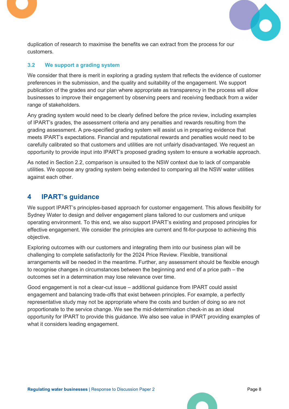



duplication of research to maximise the benefits we can extract from the process for our customers.

### 3.2 We support a grading system

We consider that there is merit in exploring a grading system that reflects the evidence of customer preferences in the submission, and the quality and suitability of the engagement. We support publication of the grades and our plan where appropriate as transparency in the process will allow businesses to improve their engagement by observing peers and receiving feedback from a wider range of stakeholders.

Any grading system would need to be clearly defined before the price review, including examples of IPART's grades, the assessment criteria and any penalties and rewards resulting from the grading assessment. A pre-specified grading system will assist us in preparing evidence that meets IPART's expectations. Financial and reputational rewards and penalties would need to be carefully calibrated so that customers and utilities are not unfairly disadvantaged. We request an opportunity to provide input into IPART's proposed grading system to ensure a workable approach.

As noted in Section 2.2, comparison is unsuited to the NSW context due to lack of comparable utilities. We oppose any grading system being extended to comparing all the NSW water utilities against each other.

## 4 IPART's guidance

We support IPART's principles-based approach for customer engagement. This allows flexibility for Sydney Water to design and deliver engagement plans tailored to our customers and unique operating environment. To this end, we also support IPART's existing and proposed principles for effective engagement. We consider the principles are current and fit-for-purpose to achieving this objective.

Exploring outcomes with our customers and integrating them into our business plan will be challenging to complete satisfactorily for the 2024 Price Review. Flexible, transitional arrangements will be needed in the meantime. Further, any assessment should be flexible enough to recognise changes in circumstances between the beginning and end of a price path – the outcomes set in a determination may lose relevance over time.

Good engagement is not a clear-cut issue – additional guidance from IPART could assist engagement and balancing trade-offs that exist between principles. For example, a perfectly representative study may not be appropriate where the costs and burden of doing so are not proportionate to the service change. We see the mid-determination check-in as an ideal opportunity for IPART to provide this guidance. We also see value in IPART providing examples of what it considers leading engagement.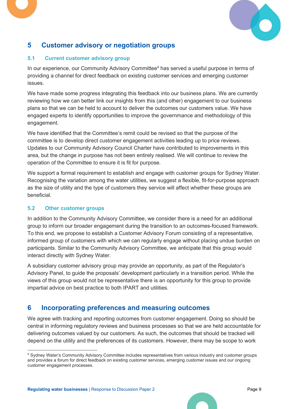

## 5 Customer advisory or negotiation groups

### 5.1 Current customer advisory group

In our experience, our Community Advisory Committee<sup>4</sup> has served a useful purpose in terms of providing a channel for direct feedback on existing customer services and emerging customer issues.

We have made some progress integrating this feedback into our business plans. We are currently reviewing how we can better link our insights from this (and other) engagement to our business plans so that we can be held to account to deliver the outcomes our customers value. We have engaged experts to identify opportunities to improve the governmance and methodology of this engagement.

We have identified that the Committee's remit could be revised so that the purpose of the committee is to develop direct customer engagement activities leading up to price reviews. Updates to our Community Advisory Council Charter have contributed to improvements in this area, but the change in purpose has not been entirely realised. We will continue to review the operation of the Committee to ensure it is fit for purpose.

We support a formal requirement to establish and engage with customer groups for Sydney Water. Recognising the variation among the water utilities, we suggest a flexible, fit-for-purpose approach as the size of utility and the type of customers they service will affect whether these groups are beneficial.

## 5.2 Other customer groups

In addition to the Community Advisory Committee, we consider there is a need for an additional group to inform our broader engagement during the transition to an outcomes-focused framework. To this end, we propose to establish a Customer Advisory Forum consisting of a representative, informed group of customers with which we can regularly engage without placing undue burden on participants. Similar to the Community Advisory Committee, we anticipate that this group would interact directly with Sydney Water.

A subsidiary customer advisory group may provide an opportunity, as part of the Regulator's Advisory Panel, to guide the proposals' development particularly in a transition period. While the views of this group would not be representative there is an opportunity for this group to provide impartial advice on best practice to both IPART and utilities.

## 6 Incorporating preferences and measuring outcomes

We agree with tracking and reporting outcomes from customer engagement. Doing so should be central in informing regulatory reviews and business processes so that we are held accountable for delivering outcomes valued by our customers. As such, the outcomes that should be tracked will depend on the utility and the preferences of its customers. However, there may be scope to work

<sup>4</sup> Sydney Water's Community Advisory Committee includes representatives from various industry and customer groups and provides a forum for direct feedback on existing customer services, emerging customer issues and our ongoing customer engagement processes.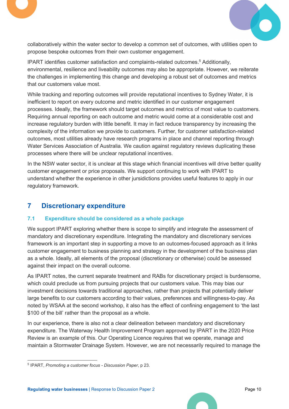



collaboratively within the water sector to develop a common set of outcomes, with utilities open to propose bespoke outcomes from their own customer engagement.

IPART identifies customer satisfaction and complaints-related outcomes.<sup>5</sup> Additionally, environmental, resilience and liveability outcomes may also be appropriate. However, we reiterate the challenges in implementing this change and developing a robust set of outcomes and metrics that our customers value most.

While tracking and reporting outcomes will provide reputational incentives to Sydney Water, it is inefficient to report on every outcome and metric identified in our customer engagement processes. Ideally, the framework should target outcomes and metrics of most value to customers. Requiring annual reporting on each outcome and metric would come at a considerable cost and increase regulatory burden with little benefit. It may in fact reduce transparency by increasing the complexity of the information we provide to customers. Further, for customer satisfaction-related outcomes, most utilities already have research programs in place and channel reporting through Water Services Association of Australia. We caution against regulatory reviews duplicating these processes where there will be unclear reputational incentives.

In the NSW water sector, it is unclear at this stage which financial incentives will drive better quality customer engagement or price proposals. We support continuing to work with IPART to understand whether the experience in other jursidictions provides useful features to apply in our regulatory framework.

## 7 Discretionary expenditure

## 7.1 Expenditure should be considered as a whole package

We support IPART exploring whether there is scope to simplify and integrate the assessment of mandatory and discretionary expenditure. Integrating the mandatory and discretionary services framework is an important step in supporting a move to an outcomes-focused approach as it links customer engagement to business planning and strategy in the development of the business plan as a whole. Ideally, all elements of the proposal (discretionary or otherwise) could be assessed against their impact on the overall outcome.

As IPART notes, the current separate treatment and RABs for discretionary project is burdensome, which could preclude us from pursuing projects that our customers value. This may bias our investment decisions towards traditional approaches, rather than projects that potentially deliver large benefits to our customers according to their values, preferences and willingness-to-pay. As noted by WSAA at the second workshop, it also has the effect of confining engagement to 'the last \$100 of the bill' rather than the proposal as a whole.

In our experience, there is also not a clear delineation between mandatory and discretionary expenditure. The Waterway Health Improvement Program approved by IPART in the 2020 Price Review is an example of this. Our Operating Licence requires that we operate, manage and maintain a Stormwater Drainage System. However, we are not necessarily required to manage the

<sup>5</sup> IPART, Promoting a customer focus - Discussion Paper, p 23.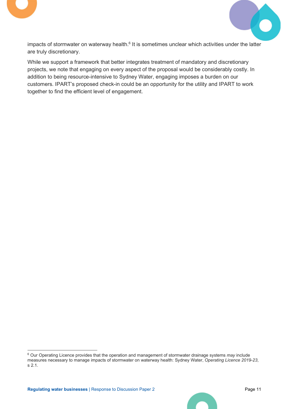



impacts of stormwater on waterway health.<sup>6</sup> It is sometimes unclear which activities under the latter are truly discretionary.

While we support a framework that better integrates treatment of mandatory and discretionary projects, we note that engaging on every aspect of the proposal would be considerably costly. In addition to being resource-intensive to Sydney Water, engaging imposes a burden on our customers. IPART's proposed check-in could be an opportunity for the utility and IPART to work together to find the efficient level of engagement.

<sup>&</sup>lt;sup>6</sup> Our Operating Licence provides that the operation and management of stormwater drainage systems may include measures necessary to manage impacts of stormwater on waterway health: Sydney Water, Operating Licence 2019-23, s 2.1.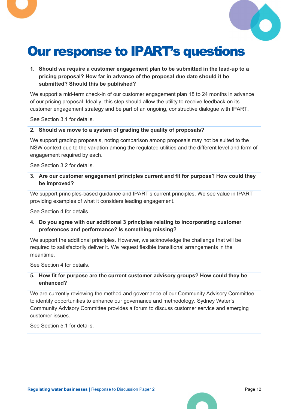

# Our response to IPART's questions

1. Should we require a customer engagement plan to be submitted in the lead-up to a pricing proposal? How far in advance of the proposal due date should it be submitted? Should this be published?

We support a mid-term check-in of our customer engagement plan 18 to 24 months in advance of our pricing proposal. Ideally, this step should allow the utility to receive feedback on its customer engagement strategy and be part of an ongoing, constructive dialogue with IPART.

See Section 3.1 for details.

#### 2. Should we move to a system of grading the quality of proposals?

We support grading proposals, noting comparison among proposals may not be suited to the NSW context due to the variation among the regulated utilities and the different level and form of engagement required by each.

See Section 3.2 for details.

3. Are our customer engagement principles current and fit for purpose? How could they be improved?

We support principles-based guidance and IPART's current principles. We see value in IPART providing examples of what it considers leading engagement.

See Section 4 for details.

4. Do you agree with our additional 3 principles relating to incorporating customer preferences and performance? Is something missing?

We support the additional principles. However, we acknowledge the challenge that will be required to satisfactorily deliver it. We request flexible transitional arrangements in the meantime.

See Section 4 for details.

#### 5. How fit for purpose are the current customer advisory groups? How could they be enhanced?

We are currently reviewing the method and governance of our Community Advisory Committee to identify opportunities to enhance our governance and methodology. Sydney Water's Community Advisory Committee provides a forum to discuss customer service and emerging customer issues.

See Section 5.1 for details.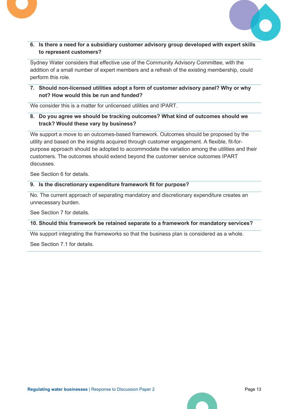

6. Is there a need for a subsidiary customer advisory group developed with expert skills to represent customers?

Sydney Water considers that effective use of the Community Advisory Committee, with the addition of a small number of expert members and a refresh of the existing membership, could perform this role.

7. Should non-licensed utilities adopt a form of customer advisory panel? Why or why not? How would this be run and funded?

We consider this is a matter for unlicensed utilities and IPART.

## 8. Do you agree we should be tracking outcomes? What kind of outcomes should we track? Would these vary by business?

We support a move to an outcomes-based framework. Outcomes should be proposed by the utility and based on the insights acquired through customer engagement. A flexible, fit-forpurpose approach should be adopted to accommodate the variation among the utilities and their customers. The outcomes should extend beyond the customer service outcomes IPART discusses.

See Section 6 for details.

#### 9. Is the discretionary expenditure framework fit for purpose?

No. The current approach of separating mandatory and discretionary expenditure creates an unnecessary burden.

See Section 7 for details.

#### 10. Should this framework be retained separate to a framework for mandatory services?

We support integrating the frameworks so that the business plan is considered as a whole.

See Section 7.1 for details.